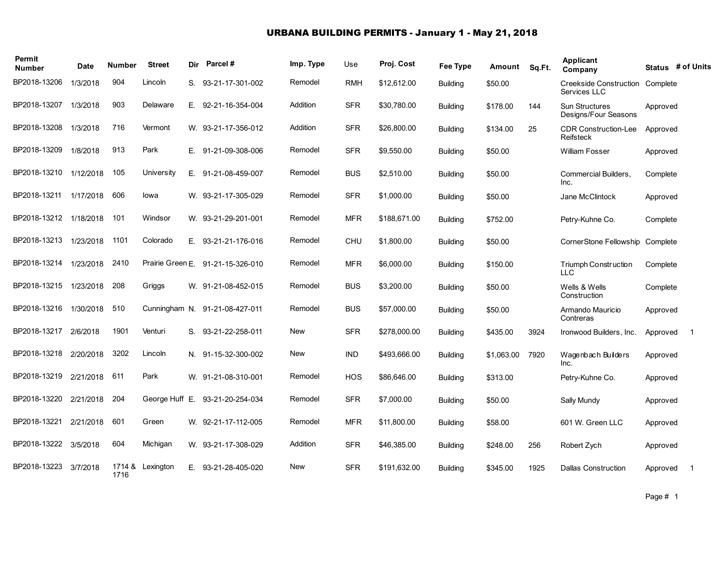#### URBANA BUILDING PERMITS - January 1 - May 21, 2018

| Permit<br><b>Number</b> | Date      | <b>Number</b> | <b>Street</b>    |    | Dir Parcel#                    | Imp. Type  | Use        | Proj. Cost   | Fee Type        | Amount     | Sq.Ft. | <b>Applicant</b><br>Company                     |          | Status # of Units |
|-------------------------|-----------|---------------|------------------|----|--------------------------------|------------|------------|--------------|-----------------|------------|--------|-------------------------------------------------|----------|-------------------|
| BP2018-13206            | 1/3/2018  | 904           | Lincoln          | S. | 93-21-17-301-002               | Remodel    | <b>RMH</b> | \$12,612.00  | <b>Building</b> | \$50.00    |        | Creekside Construction Complete<br>Services LLC |          |                   |
| BP2018-13207            | 1/3/2018  | 903           | Delaware         | Е. | 92-21-16-354-004               | Addition   | <b>SFR</b> | \$30,780.00  | <b>Building</b> | \$178.00   | 144    | <b>Sun Structures</b><br>Designs/Four Seasons   | Approved |                   |
| BP2018-13208            | 1/3/2018  | 716           | Vermont          |    | W. 93-21-17-356-012            | Addition   | <b>SFR</b> | \$26,800.00  | <b>Building</b> | \$134.00   | 25     | <b>CDR Construction-Lee</b><br>Reifsteck        | Approved |                   |
| BP2018-13209            | 1/8/2018  | 913           | Park             | Е. | 91-21-09-308-006               | Remodel    | <b>SFR</b> | \$9,550.00   | <b>Building</b> | \$50.00    |        | <b>William Fosser</b>                           | Approved |                   |
| BP2018-13210            | 1/12/2018 | 105           | University       | Е. | 91-21-08-459-007               | Remodel    | <b>BUS</b> | \$2,510.00   | <b>Building</b> | \$50.00    |        | Commercial Builders.<br>Inc.                    | Complete |                   |
| BP2018-13211            | 1/17/2018 | 606           | lowa             |    | W. 93-21-17-305-029            | Remodel    | <b>SFR</b> | \$1,000.00   | <b>Building</b> | \$50.00    |        | Jane McClintock                                 | Approved |                   |
| BP2018-13212            | 1/18/2018 | 101           | Windsor          |    | W. 93-21-29-201-001            | Remodel    | <b>MFR</b> | \$188,671.00 | <b>Building</b> | \$752.00   |        | Petry-Kuhne Co.                                 | Complete |                   |
| BP2018-13213            | 1/23/2018 | 1101          | Colorado         | Е. | 93-21-21-176-016               | Remodel    | CHU        | \$1,800.00   | <b>Building</b> | \$50.00    |        | CornerStone Fellowship                          | Complete |                   |
| BP2018-13214            | 1/23/2018 | 2410          | Prairie Green E. |    | 91-21-15-326-010               | Remodel    | <b>MFR</b> | \$6,000.00   | <b>Building</b> | \$150.00   |        | Triumph Construction<br><b>LLC</b>              | Complete |                   |
| BP2018-13215            | 1/23/2018 | 208           | Griggs           |    | W. 91-21-08-452-015            | Remodel    | <b>BUS</b> | \$3,200.00   | <b>Building</b> | \$50.00    |        | Wells & Wells<br>Construction                   | Complete |                   |
| BP2018-13216            | 1/30/2018 | 510           |                  |    | Cunningham N. 91-21-08-427-011 | Remodel    | <b>BUS</b> | \$57,000.00  | <b>Building</b> | \$50.00    |        | Armando Mauricio<br>Contreras                   | Approved |                   |
| BP2018-13217            | 2/6/2018  | 1901          | Venturi          | S. | 93-21-22-258-011               | <b>New</b> | <b>SFR</b> | \$278,000.00 | <b>Building</b> | \$435.00   | 3924   | Ironwood Builders, Inc.                         | Approved | $\mathbf 1$       |
| BP2018-13218            | 2/20/2018 | 3202          | Lincoln          |    | N. 91-15-32-300-002            | <b>New</b> | <b>IND</b> | \$493,666.00 | <b>Building</b> | \$1,063.00 | 7920   | Wage nbach Builders<br>Inc.                     | Approved |                   |
| BP2018-13219            | 2/21/2018 | 611           | Park             |    | W. 91-21-08-310-001            | Remodel    | <b>HOS</b> | \$86.646.00  | <b>Building</b> | \$313.00   |        | Petry-Kuhne Co.                                 | Approved |                   |
| BP2018-13220            | 2/21/2018 | 204           | George Huff E.   |    | 93-21-20-254-034               | Remodel    | <b>SFR</b> | \$7,000.00   | <b>Building</b> | \$50.00    |        | Sally Mundy                                     | Approved |                   |
| BP2018-13221            | 2/21/2018 | 601           | Green            |    | W. 92-21-17-112-005            | Remodel    | <b>MFR</b> | \$11,800.00  | <b>Building</b> | \$58.00    |        | 601 W. Green LLC                                | Approved |                   |
| BP2018-13222            | 3/5/2018  | 604           | Michigan         |    | W. 93-21-17-308-029            | Addition   | <b>SFR</b> | \$46,385.00  | <b>Building</b> | \$248.00   | 256    | Robert Zych                                     | Approved |                   |
| BP2018-13223            | 3/7/2018  | 1716          | 1714 & Lexington | Е. | 93-21-28-405-020               | <b>New</b> | <b>SFR</b> | \$191,632.00 | <b>Building</b> | \$345.00   | 1925   | <b>Dallas Construction</b>                      | Approved |                   |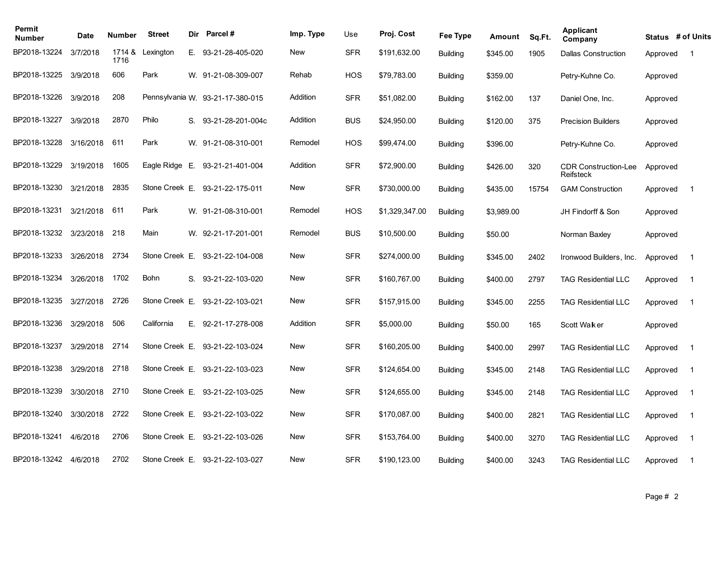| Permit<br><b>Number</b> | Date      | Number         | <b>Street</b>  | Dir | Parcel#                          | Imp. Type | Use        | Proj. Cost     | Fee Type        | Amount     | Sq.Ft. | Applicant<br>Company                     | Status # of Units |                |
|-------------------------|-----------|----------------|----------------|-----|----------------------------------|-----------|------------|----------------|-----------------|------------|--------|------------------------------------------|-------------------|----------------|
| BP2018-13224            | 3/7/2018  | 1714 &<br>1716 | Lexington      |     | E. 93-21-28-405-020              | New       | <b>SFR</b> | \$191,632.00   | <b>Building</b> | \$345.00   | 1905   | <b>Dallas Construction</b>               | Approved          | $\overline{1}$ |
| BP2018-13225            | 3/9/2018  | 606            | Park           |     | W. 91-21-08-309-007              | Rehab     | HOS        | \$79,783.00    | <b>Building</b> | \$359.00   |        | Petry-Kuhne Co.                          | Approved          |                |
| BP2018-13226            | 3/9/2018  | 208            |                |     | Pennsylvania W. 93-21-17-380-015 | Addition  | <b>SFR</b> | \$51,082.00    | <b>Building</b> | \$162.00   | 137    | Daniel One, Inc.                         | Approved          |                |
| BP2018-13227            | 3/9/2018  | 2870           | Philo          |     | S. 93-21-28-201-004c             | Addition  | <b>BUS</b> | \$24,950.00    | <b>Building</b> | \$120.00   | 375    | <b>Precision Builders</b>                | Approved          |                |
| BP2018-13228            | 3/16/2018 | 611            | Park           |     | W. 91-21-08-310-001              | Remodel   | <b>HOS</b> | \$99,474.00    | <b>Building</b> | \$396.00   |        | Petry-Kuhne Co.                          | Approved          |                |
| BP2018-13229            | 3/19/2018 | 1605           | Eagle Ridge E. |     | 93-21-21-401-004                 | Addition  | <b>SFR</b> | \$72,900.00    | <b>Building</b> | \$426.00   | 320    | <b>CDR Construction-Lee</b><br>Reifsteck | Approved          |                |
| BP2018-13230            | 3/21/2018 | 2835           | Stone Creek E. |     | 93-21-22-175-011                 | New       | <b>SFR</b> | \$730,000.00   | <b>Building</b> | \$435.00   | 15754  | <b>GAM Construction</b>                  | Approved          | $\overline{1}$ |
| BP2018-13231            | 3/21/2018 | 611            | Park           |     | W. 91-21-08-310-001              | Remodel   | <b>HOS</b> | \$1,329,347.00 | <b>Building</b> | \$3,989.00 |        | JH Findorff & Son                        | Approved          |                |
| BP2018-13232            | 3/23/2018 | 218            | Main           |     | W. 92-21-17-201-001              | Remodel   | <b>BUS</b> | \$10,500.00    | <b>Building</b> | \$50.00    |        | Norman Baxley                            | Approved          |                |
| BP2018-13233            | 3/26/2018 | 2734           | Stone Creek E. |     | 93-21-22-104-008                 | New       | <b>SFR</b> | \$274,000.00   | <b>Building</b> | \$345.00   | 2402   | Ironwood Builders, Inc.                  | Approved          | $\overline{1}$ |
| BP2018-13234            | 3/26/2018 | 1702           | Bohn           | S.  | 93-21-22-103-020                 | New       | <b>SFR</b> | \$160,767.00   | <b>Building</b> | \$400.00   | 2797   | <b>TAG Residential LLC</b>               | Approved          | $\overline{1}$ |
| BP2018-13235            | 3/27/2018 | 2726           | Stone Creek E. |     | 93-21-22-103-021                 | New       | <b>SFR</b> | \$157,915.00   | <b>Building</b> | \$345.00   | 2255   | <b>TAG Residential LLC</b>               | Approved          | $\overline{1}$ |
| BP2018-13236            | 3/29/2018 | 506            | California     | Ε.  | 92-21-17-278-008                 | Addition  | <b>SFR</b> | \$5,000.00     | <b>Building</b> | \$50.00    | 165    | Scott Waker                              | Approved          |                |
| BP2018-13237            | 3/29/2018 | 2714           | Stone Creek E. |     | 93-21-22-103-024                 | New       | <b>SFR</b> | \$160,205.00   | <b>Building</b> | \$400.00   | 2997   | <b>TAG Residential LLC</b>               | Approved          | $\overline{1}$ |
| BP2018-13238            | 3/29/2018 | 2718           | Stone Creek E. |     | 93-21-22-103-023                 | New       | <b>SFR</b> | \$124,654.00   | <b>Building</b> | \$345.00   | 2148   | <b>TAG Residential LLC</b>               | Approved          | $\overline{1}$ |
| BP2018-13239            | 3/30/2018 | 2710           | Stone Creek E. |     | 93-21-22-103-025                 | New       | <b>SFR</b> | \$124,655.00   | <b>Building</b> | \$345.00   | 2148   | <b>TAG Residential LLC</b>               | Approved          | $\overline{1}$ |
| BP2018-13240            | 3/30/2018 | 2722           | Stone Creek E. |     | 93-21-22-103-022                 | New       | <b>SFR</b> | \$170,087.00   | <b>Building</b> | \$400.00   | 2821   | <b>TAG Residential LLC</b>               | Approved          | $\overline{1}$ |
| BP2018-13241            | 4/6/2018  | 2706           | Stone Creek E. |     | 93-21-22-103-026                 | New       | <b>SFR</b> | \$153,764.00   | <b>Building</b> | \$400.00   | 3270   | <b>TAG Residential LLC</b>               | Approved          | $\overline{1}$ |
| BP2018-13242            | 4/6/2018  | 2702           |                |     | Stone Creek E. 93-21-22-103-027  | New       | <b>SFR</b> | \$190,123.00   | <b>Building</b> | \$400.00   | 3243   | <b>TAG Residential LLC</b>               | Approved          | $\overline{1}$ |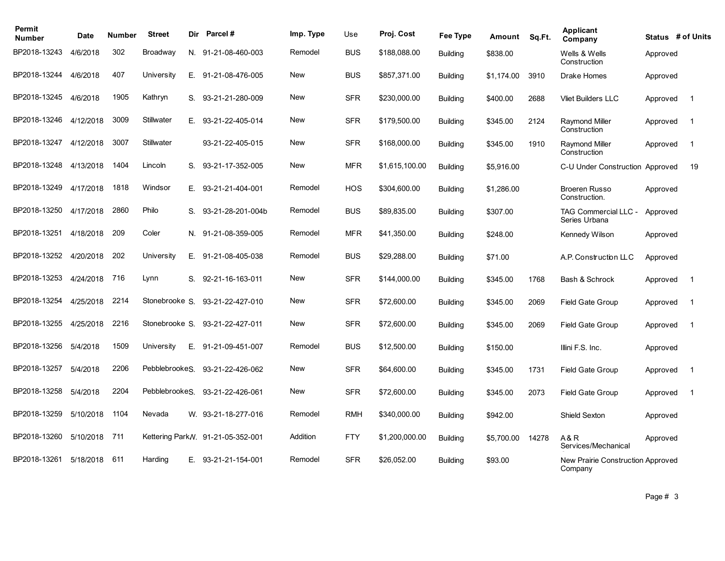| Permit<br><b>Number</b> | Date      | Number | <b>Street</b>  | Dir. | <b>Parcel#</b>                     | Imp. Type  | Use        | Proj. Cost     | Fee Type        | Amount     | Sq.Ft. | <b>Applicant</b><br>Company                  |          | Status # of Units |
|-------------------------|-----------|--------|----------------|------|------------------------------------|------------|------------|----------------|-----------------|------------|--------|----------------------------------------------|----------|-------------------|
| BP2018-13243            | 4/6/2018  | 302    | Broadway       |      | N. 91-21-08-460-003                | Remodel    | <b>BUS</b> | \$188,088.00   | <b>Building</b> | \$838.00   |        | Wells & Wells<br>Construction                | Approved |                   |
| BP2018-13244            | 4/6/2018  | 407    | University     | Е.   | 91-21-08-476-005                   | New        | <b>BUS</b> | \$857,371.00   | <b>Building</b> | \$1,174.00 | 3910   | <b>Drake Homes</b>                           | Approved |                   |
| BP2018-13245            | 4/6/2018  | 1905   | Kathryn        | S.   | 93-21-21-280-009                   | New        | <b>SFR</b> | \$230,000.00   | <b>Building</b> | \$400.00   | 2688   | <b>Vliet Builders LLC</b>                    | Approved | $\overline{1}$    |
| BP2018-13246            | 4/12/2018 | 3009   | Stillwater     | Е.   | 93-21-22-405-014                   | New        | <b>SFR</b> | \$179,500.00   | <b>Building</b> | \$345.00   | 2124   | <b>Raymond Miller</b><br>Construction        | Approved | $\overline{1}$    |
| BP2018-13247            | 4/12/2018 | 3007   | Stillwater     |      | 93-21-22-405-015                   | New        | <b>SFR</b> | \$168,000.00   | <b>Building</b> | \$345.00   | 1910   | <b>Raymond Miller</b><br>Construction        | Approved | $\overline{1}$    |
| BP2018-13248            | 4/13/2018 | 1404   | Lincoln        | S.   | 93-21-17-352-005                   | <b>New</b> | <b>MFR</b> | \$1,615,100.00 | <b>Building</b> | \$5,916.00 |        | C-U Under Construction Approved              |          | 19                |
| BP2018-13249            | 4/17/2018 | 1818   | Windsor        | Е.   | 93-21-21-404-001                   | Remodel    | <b>HOS</b> | \$304,600.00   | <b>Building</b> | \$1,286.00 |        | <b>Broeren Russo</b><br>Construction.        | Approved |                   |
| BP2018-13250            | 4/17/2018 | 2860   | Philo          | S.   | 93-21-28-201-004b                  | Remodel    | <b>BUS</b> | \$89,835.00    | <b>Building</b> | \$307.00   |        | TAG Commercial LLC -<br>Series Urbana        | Approved |                   |
| BP2018-13251            | 4/18/2018 | 209    | Coler          | N.   | 91-21-08-359-005                   | Remodel    | <b>MFR</b> | \$41.350.00    | <b>Building</b> | \$248.00   |        | Kennedy Wilson                               | Approved |                   |
| BP2018-13252            | 4/20/2018 | 202    | University     |      | E. 91-21-08-405-038                | Remodel    | <b>BUS</b> | \$29,288.00    | <b>Building</b> | \$71.00    |        | A.P. Construction LLC                        | Approved |                   |
| BP2018-13253            | 4/24/2018 | 716    | Lynn           | S.   | 92-21-16-163-011                   | <b>New</b> | <b>SFR</b> | \$144,000.00   | <b>Building</b> | \$345.00   | 1768   | Bash & Schrock                               | Approved | -1                |
| BP2018-13254            | 4/25/2018 | 2214   | Stonebrooke S. |      | 93-21-22-427-010                   | <b>New</b> | <b>SFR</b> | \$72,600.00    | <b>Building</b> | \$345.00   | 2069   | <b>Field Gate Group</b>                      | Approved | $\overline{1}$    |
| BP2018-13255            | 4/25/2018 | 2216   | Stonebrooke S. |      | 93-21-22-427-011                   | New        | <b>SFR</b> | \$72,600.00    | <b>Building</b> | \$345.00   | 2069   | <b>Field Gate Group</b>                      | Approved | $\overline{1}$    |
| BP2018-13256            | 5/4/2018  | 1509   | University     | Ε.   | 91-21-09-451-007                   | Remodel    | <b>BUS</b> | \$12,500.00    | <b>Building</b> | \$150.00   |        | Illini F.S. Inc.                             | Approved |                   |
| BP2018-13257            | 5/4/2018  | 2206   | PebblebrookeS. |      | 93-21-22-426-062                   | <b>New</b> | <b>SFR</b> | \$64,600.00    | <b>Building</b> | \$345.00   | 1731   | Field Gate Group                             | Approved | $\mathbf 1$       |
| BP2018-13258            | 5/4/2018  | 2204   | PebblebrookeS. |      | 93-21-22-426-061                   | <b>New</b> | <b>SFR</b> | \$72,600.00    | <b>Building</b> | \$345.00   | 2073   | <b>Field Gate Group</b>                      | Approved | $\overline{1}$    |
| BP2018-13259            | 5/10/2018 | 1104   | Nevada         |      | W. 93-21-18-277-016                | Remodel    | <b>RMH</b> | \$340,000.00   | <b>Building</b> | \$942.00   |        | Shield Sexton                                | Approved |                   |
| BP2018-13260            | 5/10/2018 | 711    |                |      | Kettering Park N. 91-21-05-352-001 | Addition   | <b>FTY</b> | \$1,200,000.00 | <b>Building</b> | \$5,700.00 | 14278  | A&R<br>Services/Mechanical                   | Approved |                   |
| BP2018-13261            | 5/18/2018 | 611    | Harding        | E.   | 93-21-21-154-001                   | Remodel    | <b>SFR</b> | \$26.052.00    | <b>Building</b> | \$93.00    |        | New Prairie Construction Approved<br>Company |          |                   |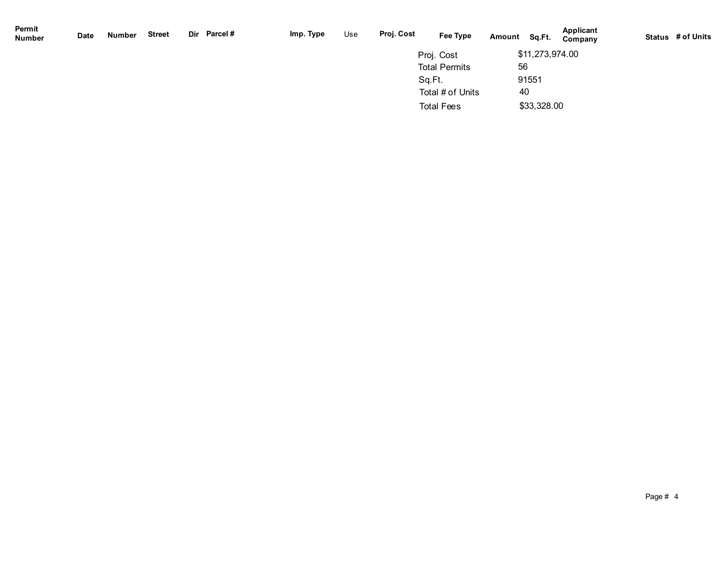| Permit<br><b>Number</b> | Date | Number | Street | Dir Parcel# | Imp. Type | Use | Proj. Cost | Fee Type             | Amount | Sq.Ft.          | Applicant<br>Company | Status # of Units |
|-------------------------|------|--------|--------|-------------|-----------|-----|------------|----------------------|--------|-----------------|----------------------|-------------------|
|                         |      |        |        |             |           |     |            | Proj. Cost           |        | \$11,273,974.00 |                      |                   |
|                         |      |        |        |             |           |     |            | <b>Total Permits</b> | 56     |                 |                      |                   |
|                         |      |        |        |             |           |     |            | Sq.Ft.               |        | 91551           |                      |                   |
|                         |      |        |        |             |           |     |            | Total # of Units     | 40     |                 |                      |                   |
|                         |      |        |        |             |           |     |            | <b>Total Fees</b>    |        | \$33,328.00     |                      |                   |
|                         |      |        |        |             |           |     |            |                      |        |                 |                      |                   |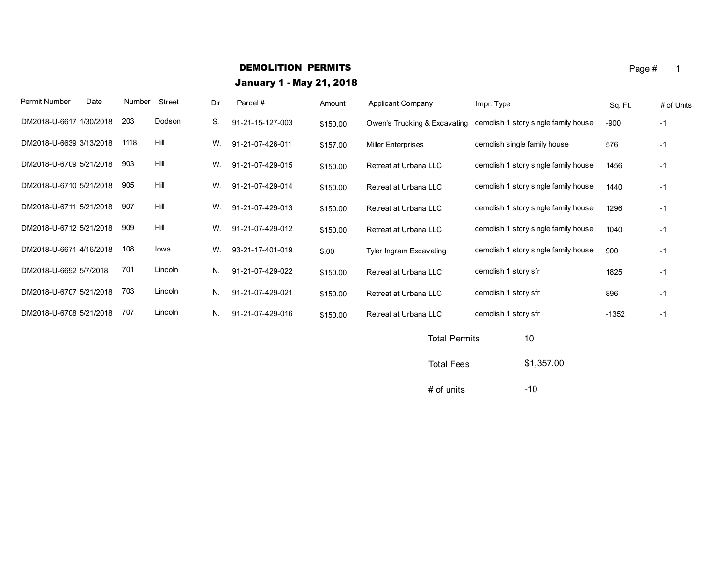# **DEMOLITION PERMITS** Page  $\#$  1

January 1 - May 21, 2018

| Permit Number           | Date | Number | <b>Street</b> | Dir | Parcel#          | Amount   | <b>Applicant Company</b>     | Impr. Type                           | Sq. Ft. | # of Units |
|-------------------------|------|--------|---------------|-----|------------------|----------|------------------------------|--------------------------------------|---------|------------|
| DM2018-U-6617 1/30/2018 |      | 203    | Dodson        | S.  | 91-21-15-127-003 | \$150.00 | Owen's Trucking & Excavating | demolish 1 story single family house | $-900$  | $-1$       |
| DM2018-U-6639 3/13/2018 |      | 1118   | Hill          | W.  | 91-21-07-426-011 | \$157.00 | <b>Miller Enterprises</b>    | demolish single family house         | 576     | -1         |
| DM2018-U-6709 5/21/2018 |      | 903    | Hill          | W.  | 91-21-07-429-015 | \$150.00 | Retreat at Urbana LLC        | demolish 1 story single family house | 1456    | $-1$       |
| DM2018-U-6710 5/21/2018 |      | 905    | Hill          | W.  | 91-21-07-429-014 | \$150.00 | Retreat at Urbana LLC        | demolish 1 story single family house | 1440    | $-1$       |
| DM2018-U-6711 5/21/2018 |      | 907    | Hill          | W.  | 91-21-07-429-013 | \$150.00 | Retreat at Urbana LLC        | demolish 1 story single family house | 1296    | $-1$       |
| DM2018-U-6712 5/21/2018 |      | 909    | Hill          | W.  | 91-21-07-429-012 | \$150.00 | Retreat at Urbana LLC        | demolish 1 story single family house | 1040    | $-1$       |
| DM2018-U-6671 4/16/2018 |      | 108    | lowa          | W.  | 93-21-17-401-019 | \$.00    | Tyler Ingram Excavating      | demolish 1 story single family house | 900     | -1         |
| DM2018-U-6692 5/7/2018  |      | 701    | Lincoln       | N.  | 91-21-07-429-022 | \$150.00 | Retreat at Urbana LLC        | demolish 1 story sfr                 | 1825    | $-1$       |
| DM2018-U-6707 5/21/2018 |      | 703    | Lincoln       | N.  | 91-21-07-429-021 | \$150.00 | Retreat at Urbana LLC        | demolish 1 story sfr                 | 896     | -1         |
| DM2018-U-6708 5/21/2018 |      | 707    | Lincoln       | N.  | 91-21-07-429-016 | \$150.00 | Retreat at Urbana LLC        | demolish 1 story sfr                 | $-1352$ | $-1$       |
|                         |      |        |               |     |                  |          |                              |                                      |         |            |

| <b>Total Permits</b> | 10         |
|----------------------|------------|
| <b>Total Fees</b>    | \$1,357.00 |

 $#$  of units  $-10$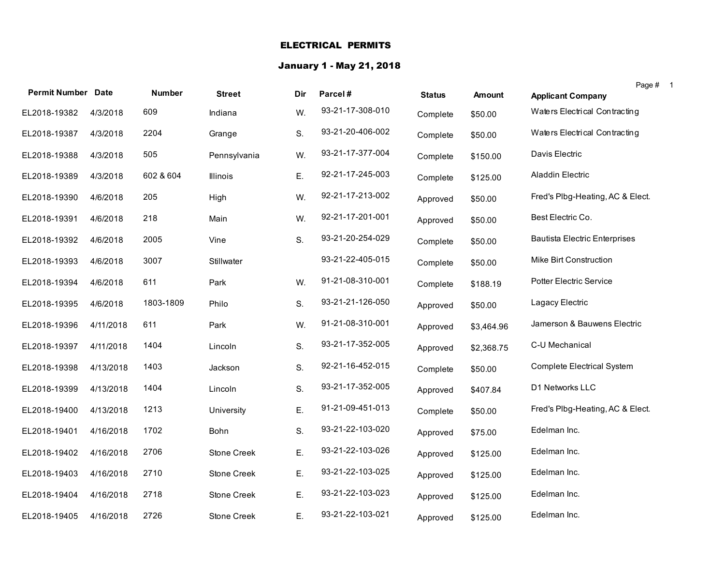### ELECTRICAL PERMITS

# January 1 - May 21, 2018

| <b>Permit Number Date</b> |           | <b>Number</b> | <b>Street</b>      | Dir | Parcel#          | <b>Status</b> | <b>Amount</b> | Page #<br><b>Applicant Company</b>   |
|---------------------------|-----------|---------------|--------------------|-----|------------------|---------------|---------------|--------------------------------------|
| EL2018-19382              | 4/3/2018  | 609           | Indiana            | W.  | 93-21-17-308-010 | Complete      | \$50.00       | Waters Electrical Contracting        |
| EL2018-19387              | 4/3/2018  | 2204          | Grange             | S.  | 93-21-20-406-002 | Complete      | \$50.00       | Waters Electrical Contracting        |
| EL2018-19388              | 4/3/2018  | 505           | Pennsylvania       | W.  | 93-21-17-377-004 | Complete      | \$150.00      | Davis Electric                       |
| EL2018-19389              | 4/3/2018  | 602 & 604     | Illinois           | Ε.  | 92-21-17-245-003 | Complete      | \$125.00      | Aladdin Electric                     |
| EL2018-19390              | 4/6/2018  | 205           | High               | W.  | 92-21-17-213-002 | Approved      | \$50.00       | Fred's Plbg-Heating, AC & Elect.     |
| EL2018-19391              | 4/6/2018  | 218           | Main               | W.  | 92-21-17-201-001 | Approved      | \$50.00       | Best Electric Co.                    |
| EL2018-19392              | 4/6/2018  | 2005          | Vine               | S.  | 93-21-20-254-029 | Complete      | \$50.00       | <b>Bautista Electric Enterprises</b> |
| EL2018-19393              | 4/6/2018  | 3007          | Stillwater         |     | 93-21-22-405-015 | Complete      | \$50.00       | Mike Birt Construction               |
| EL2018-19394              | 4/6/2018  | 611           | Park               | W.  | 91-21-08-310-001 | Complete      | \$188.19      | <b>Potter Electric Service</b>       |
| EL2018-19395              | 4/6/2018  | 1803-1809     | Philo              | S.  | 93-21-21-126-050 | Approved      | \$50.00       | Lagacy Electric                      |
| EL2018-19396              | 4/11/2018 | 611           | Park               | W.  | 91-21-08-310-001 | Approved      | \$3,464.96    | Jamerson & Bauwens Electric          |
| EL2018-19397              | 4/11/2018 | 1404          | Lincoln            | S.  | 93-21-17-352-005 | Approved      | \$2,368.75    | C-U Mechanical                       |
| EL2018-19398              | 4/13/2018 | 1403          | Jackson            | S.  | 92-21-16-452-015 | Complete      | \$50.00       | <b>Complete Electrical System</b>    |
| EL2018-19399              | 4/13/2018 | 1404          | Lincoln            | S.  | 93-21-17-352-005 | Approved      | \$407.84      | D1 Networks LLC                      |
| EL2018-19400              | 4/13/2018 | 1213          | University         | Ε.  | 91-21-09-451-013 | Complete      | \$50.00       | Fred's Plbg-Heating, AC & Elect.     |
| EL2018-19401              | 4/16/2018 | 1702          | Bohn               | S.  | 93-21-22-103-020 | Approved      | \$75.00       | Edelman Inc.                         |
| EL2018-19402              | 4/16/2018 | 2706          | Stone Creek        | Ε.  | 93-21-22-103-026 | Approved      | \$125.00      | Edelman Inc.                         |
| EL2018-19403              | 4/16/2018 | 2710          | Stone Creek        | Ε.  | 93-21-22-103-025 | Approved      | \$125.00      | Edelman Inc.                         |
| EL2018-19404              | 4/16/2018 | 2718          | <b>Stone Creek</b> | Ε.  | 93-21-22-103-023 | Approved      | \$125.00      | Edelman Inc.                         |
| EL2018-19405              | 4/16/2018 | 2726          | Stone Creek        | Ε.  | 93-21-22-103-021 | Approved      | \$125.00      | Edelman Inc.                         |

1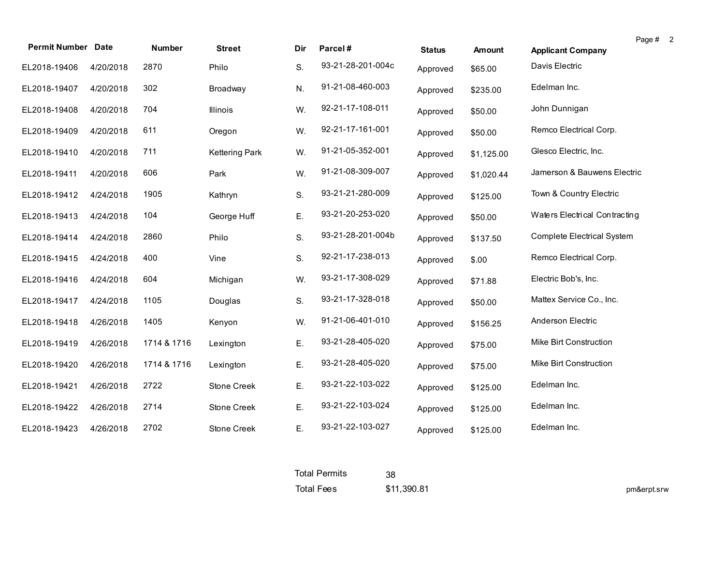| <b>Permit Number Date</b> |           | <b>Number</b> | <b>Street</b>         | Dir | Parcel#           | <b>Status</b> | Amount     | <b>Applicant Company</b>      | Page # 2 |
|---------------------------|-----------|---------------|-----------------------|-----|-------------------|---------------|------------|-------------------------------|----------|
| EL2018-19406              | 4/20/2018 | 2870          | Philo                 | S.  | 93-21-28-201-004c | Approved      | \$65.00    | Davis Electric                |          |
| EL2018-19407              | 4/20/2018 | 302           | Broadway              | N.  | 91-21-08-460-003  | Approved      | \$235.00   | Edelman Inc.                  |          |
| EL2018-19408              | 4/20/2018 | 704           | Illinois              | W.  | 92-21-17-108-011  | Approved      | \$50.00    | John Dunnigan                 |          |
| EL2018-19409              | 4/20/2018 | 611           | Oregon                | W.  | 92-21-17-161-001  | Approved      | \$50.00    | Remco Electrical Corp.        |          |
| EL2018-19410              | 4/20/2018 | 711           | <b>Kettering Park</b> | W.  | 91-21-05-352-001  | Approved      | \$1,125.00 | Glesco Electric, Inc.         |          |
| EL2018-19411              | 4/20/2018 | 606           | Park                  | W.  | 91-21-08-309-007  | Approved      | \$1,020.44 | Jamerson & Bauwens Electric   |          |
| EL2018-19412              | 4/24/2018 | 1905          | Kathryn               | S.  | 93-21-21-280-009  | Approved      | \$125.00   | Town & Country Electric       |          |
| EL2018-19413              | 4/24/2018 | 104           | George Huff           | Ε.  | 93-21-20-253-020  | Approved      | \$50.00    | Waters Electrical Contracting |          |
| EL2018-19414              | 4/24/2018 | 2860          | Philo                 | S.  | 93-21-28-201-004b | Approved      | \$137.50   | Complete Electrical System    |          |
| EL2018-19415              | 4/24/2018 | 400           | Vine                  | S.  | 92-21-17-238-013  | Approved      | \$.00      | Remco Electrical Corp.        |          |
| EL2018-19416              | 4/24/2018 | 604           | Michigan              | W.  | 93-21-17-308-029  | Approved      | \$71.88    | Electric Bob's, Inc.          |          |
| EL2018-19417              | 4/24/2018 | 1105          | Douglas               | S.  | 93-21-17-328-018  | Approved      | \$50.00    | Mattex Service Co., Inc.      |          |
| EL2018-19418              | 4/26/2018 | 1405          | Kenyon                | W.  | 91-21-06-401-010  | Approved      | \$156.25   | Anderson Electric             |          |
| EL2018-19419              | 4/26/2018 | 1714 & 1716   | Lexington             | E.  | 93-21-28-405-020  | Approved      | \$75.00    | Mike Birt Construction        |          |
| EL2018-19420              | 4/26/2018 | 1714 & 1716   | Lexington             | Ε.  | 93-21-28-405-020  | Approved      | \$75.00    | Mike Birt Construction        |          |
| EL2018-19421              | 4/26/2018 | 2722          | Stone Creek           | Ε.  | 93-21-22-103-022  | Approved      | \$125.00   | Edelman Inc.                  |          |
| EL2018-19422              | 4/26/2018 | 2714          | Stone Creek           | Ε.  | 93-21-22-103-024  | Approved      | \$125.00   | Edelman Inc.                  |          |
| EL2018-19423              | 4/26/2018 | 2702          | Stone Creek           | Ε.  | 93-21-22-103-027  | Approved      | \$125.00   | Edelman Inc.                  |          |

Total Permits Total Fees \$11,390.81 38

pm&erpt.srw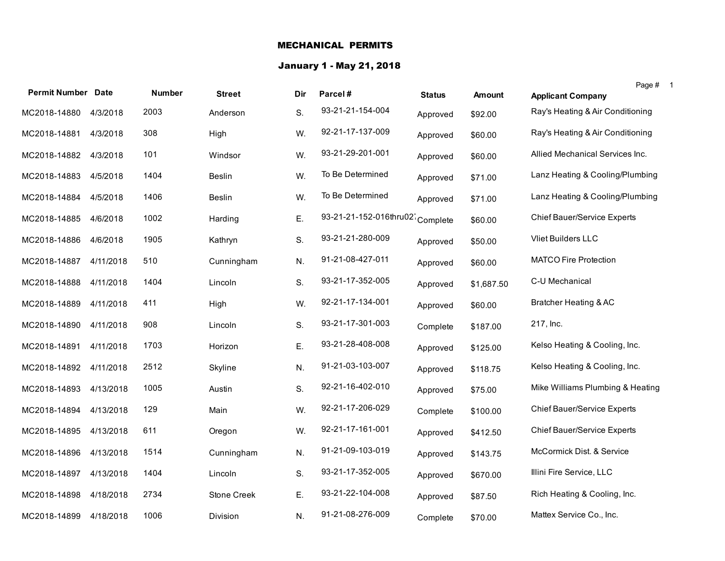### MECHANICAL PERMITS

# January 1 - May 21, 2018

| <b>Permit Number Date</b> |           | <b>Number</b> | <b>Street</b> | Dir | Parcel#                         | <b>Status</b> | <b>Amount</b> | Page #<br><b>Applicant Company</b> |  |
|---------------------------|-----------|---------------|---------------|-----|---------------------------------|---------------|---------------|------------------------------------|--|
| MC2018-14880              | 4/3/2018  | 2003          | Anderson      | S.  | 93-21-21-154-004                | Approved      | \$92.00       | Ray's Heating & Air Conditioning   |  |
|                           |           |               |               |     |                                 |               |               |                                    |  |
| MC2018-14881              | 4/3/2018  | 308           | High          | W.  | 92-21-17-137-009                | Approved      | \$60.00       | Ray's Heating & Air Conditioning   |  |
| MC2018-14882              | 4/3/2018  | 101           | Windsor       | W.  | 93-21-29-201-001                | Approved      | \$60.00       | Allied Mechanical Services Inc.    |  |
| MC2018-14883              | 4/5/2018  | 1404          | <b>Beslin</b> | W.  | To Be Determined                | Approved      | \$71.00       | Lanz Heating & Cooling/Plumbing    |  |
| MC2018-14884              | 4/5/2018  | 1406          | <b>Beslin</b> | W.  | To Be Determined                | Approved      | \$71.00       | Lanz Heating & Cooling/Plumbing    |  |
| MC2018-14885              | 4/6/2018  | 1002          | Harding       | Ε.  | 93-21-21-152-016thru02 Complete |               | \$60.00       | Chief Bauer/Service Experts        |  |
| MC2018-14886              | 4/6/2018  | 1905          | Kathryn       | S.  | 93-21-21-280-009                | Approved      | \$50.00       | Vliet Builders LLC                 |  |
| MC2018-14887              | 4/11/2018 | 510           | Cunningham    | N.  | 91-21-08-427-011                | Approved      | \$60.00       | <b>MATCO Fire Protection</b>       |  |
| MC2018-14888              | 4/11/2018 | 1404          | Lincoln       | S.  | 93-21-17-352-005                | Approved      | \$1,687.50    | C-U Mechanical                     |  |
| MC2018-14889              | 4/11/2018 | 411           | High          | W.  | 92-21-17-134-001                | Approved      | \$60.00       | Bratcher Heating & AC              |  |
| MC2018-14890              | 4/11/2018 | 908           | Lincoln       | S.  | 93-21-17-301-003                | Complete      | \$187.00      | 217, Inc.                          |  |
| MC2018-14891              | 4/11/2018 | 1703          | Horizon       | Ε.  | 93-21-28-408-008                | Approved      | \$125.00      | Kelso Heating & Cooling, Inc.      |  |
| MC2018-14892              | 4/11/2018 | 2512          | Skyline       | N.  | 91-21-03-103-007                | Approved      | \$118.75      | Kelso Heating & Cooling, Inc.      |  |
| MC2018-14893              | 4/13/2018 | 1005          | Austin        | S.  | 92-21-16-402-010                | Approved      | \$75.00       | Mike Williams Plumbing & Heating   |  |
| MC2018-14894              | 4/13/2018 | 129           | Main          | W.  | 92-21-17-206-029                | Complete      | \$100.00      | <b>Chief Bauer/Service Experts</b> |  |
| MC2018-14895              | 4/13/2018 | 611           | Oregon        | W.  | 92-21-17-161-001                | Approved      | \$412.50      | <b>Chief Bauer/Service Experts</b> |  |
| MC2018-14896              | 4/13/2018 | 1514          | Cunningham    | N.  | 91-21-09-103-019                | Approved      | \$143.75      | McCormick Dist. & Service          |  |
| MC2018-14897              | 4/13/2018 | 1404          | Lincoln       | S.  | 93-21-17-352-005                | Approved      | \$670.00      | Illini Fire Service, LLC           |  |
| MC2018-14898              | 4/18/2018 | 2734          | Stone Creek   | E.  | 93-21-22-104-008                | Approved      | \$87.50       | Rich Heating & Cooling, Inc.       |  |
| MC2018-14899              | 4/18/2018 | 1006          | Division      | N.  | 91-21-08-276-009                | Complete      | \$70.00       | Mattex Service Co., Inc.           |  |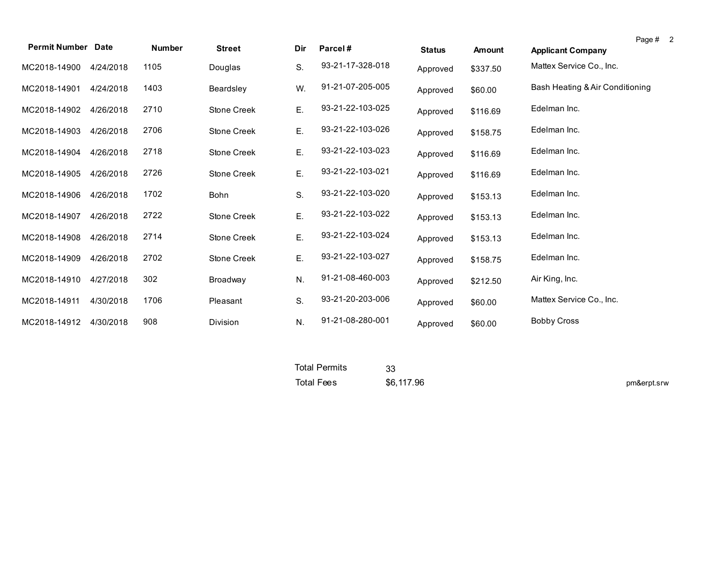| <b>Permit Number Date</b> |           | <b>Number</b> | <b>Street</b>      | Dir | Parcel#          | <b>Status</b> | <b>Amount</b> | Page # 2<br><b>Applicant Company</b> |
|---------------------------|-----------|---------------|--------------------|-----|------------------|---------------|---------------|--------------------------------------|
| MC2018-14900              | 4/24/2018 | 1105          | Douglas            | S.  | 93-21-17-328-018 | Approved      | \$337.50      | Mattex Service Co., Inc.             |
| MC2018-14901              | 4/24/2018 | 1403          | Beardsley          | W.  | 91-21-07-205-005 | Approved      | \$60.00       | Bash Heating & Air Conditioning      |
| MC2018-14902              | 4/26/2018 | 2710          | Stone Creek        | Ε.  | 93-21-22-103-025 | Approved      | \$116.69      | Edelman Inc.                         |
| MC2018-14903              | 4/26/2018 | 2706          | Stone Creek        | Ε.  | 93-21-22-103-026 | Approved      | \$158.75      | Edelman Inc.                         |
| MC2018-14904              | 4/26/2018 | 2718          | <b>Stone Creek</b> | Ε.  | 93-21-22-103-023 | Approved      | \$116.69      | Edelman Inc.                         |
| MC2018-14905              | 4/26/2018 | 2726          | Stone Creek        | Ε.  | 93-21-22-103-021 | Approved      | \$116.69      | Edelman Inc.                         |
| MC2018-14906              | 4/26/2018 | 1702          | Bohn               | S.  | 93-21-22-103-020 | Approved      | \$153.13      | Edelman Inc.                         |
| MC2018-14907              | 4/26/2018 | 2722          | <b>Stone Creek</b> | Ε.  | 93-21-22-103-022 | Approved      | \$153.13      | Edelman Inc.                         |
| MC2018-14908              | 4/26/2018 | 2714          | <b>Stone Creek</b> | Ε.  | 93-21-22-103-024 | Approved      | \$153.13      | Edelman Inc.                         |
| MC2018-14909              | 4/26/2018 | 2702          | <b>Stone Creek</b> | Ε.  | 93-21-22-103-027 | Approved      | \$158.75      | Edelman Inc.                         |
| MC2018-14910              | 4/27/2018 | 302           | Broadway           | N.  | 91-21-08-460-003 | Approved      | \$212.50      | Air King, Inc.                       |
| MC2018-14911              | 4/30/2018 | 1706          | Pleasant           | S.  | 93-21-20-203-006 | Approved      | \$60.00       | Mattex Service Co., Inc.             |
| MC2018-14912              | 4/30/2018 | 908           | Division           | N.  | 91-21-08-280-001 | Approved      | \$60.00       | <b>Bobby Cross</b>                   |

| Total Permits     |            |             |
|-------------------|------------|-------------|
| <b>Total Fees</b> | \$6,117.96 | pm&erpt.srw |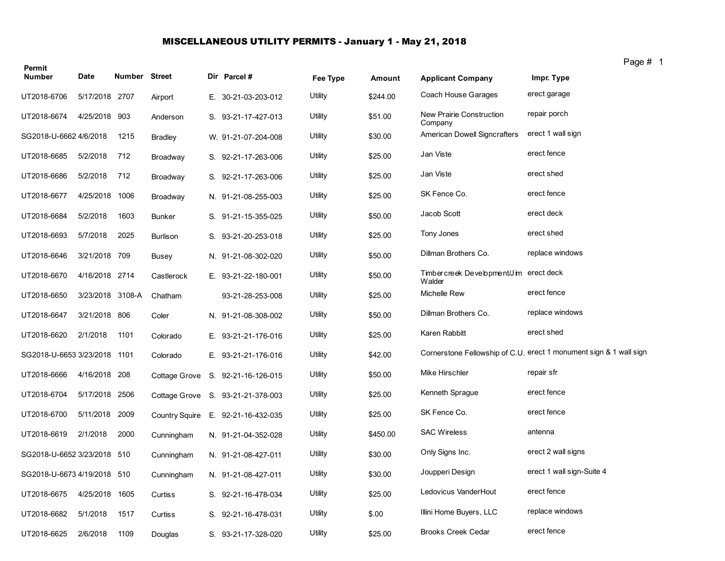# MISCELLANEOUS UTILITY PERMITS - January 1 - May 21, 2018

| Permit                       |                  |               |                 |                                    |                |          |                                                   | Page i                                                             |
|------------------------------|------------------|---------------|-----------------|------------------------------------|----------------|----------|---------------------------------------------------|--------------------------------------------------------------------|
| <b>Number</b>                | Date             | Number Street |                 | Dir Parcel #                       | Fee Type       | Amount   | <b>Applicant Company</b>                          | Impr. Type                                                         |
| UT2018-6706                  | 5/17/2018 2707   |               | Airport         | E. 30-21-03-203-012                | Utility        | \$244.00 | Coach House Garages                               | erect garage                                                       |
| UT2018-6674                  | 4/25/2018 903    |               | Anderson        | S. 93-21-17-427-013                | <b>Utility</b> | \$51.00  | New Prairie Construction<br>Company               | repair porch                                                       |
| SG2018-U-6662 4/6/2018       |                  | 1215          | Bradley         | W. 91-21-07-204-008                | Utility        | \$30.00  | American Dowell Signcrafters                      | erect 1 wall sign                                                  |
| UT2018-6685                  | 5/2/2018         | 712           | Broadway        | S. 92-21-17-263-006                | Utility        | \$25.00  | Jan Viste                                         | erect fence                                                        |
| UT2018-6686                  | 5/2/2018         | 712           | Broadway        | S. 92-21-17-263-006                | Utility        | \$25.00  | Jan Viste                                         | erect shed                                                         |
| UT2018-6677                  | 4/25/2018 1006   |               | Broadway        | N. 91-21-08-255-003                | Utility        | \$25.00  | SK Fence Co.                                      | erect fence                                                        |
| UT2018-6684                  | 5/2/2018         | 1603          | <b>Bunker</b>   | S. 91-21-15-355-025                | Utility        | \$50.00  | Jacob Scott                                       | erect deck                                                         |
| UT2018-6693                  | 5/7/2018         | 2025          | <b>Burlison</b> | S. 93-21-20-253-018                | Utility        | \$25.00  | Tony Jones                                        | erect shed                                                         |
| UT2018-6646                  | 3/21/2018 709    |               | <b>Busey</b>    | N. 91-21-08-302-020                | Utility        | \$50.00  | Dillman Brothers Co.                              | replace windows                                                    |
| UT2018-6670                  | 4/16/2018 2714   |               | Castlerock      | E. 93-21-22-180-001                | Utility        | \$50.00  | Timbercreek Development/J im erect deck<br>Walder |                                                                    |
| UT2018-6650                  | 3/23/2018 3108-A |               | Chatham         | 93-21-28-253-008                   | Utility        | \$25.00  | Michelle Rew                                      | erect fence                                                        |
| UT2018-6647                  | 3/21/2018 806    |               | Coler           | N. 91-21-08-308-002                | Utility        | \$50.00  | Dillman Brothers Co.                              | replace windows                                                    |
| UT2018-6620                  | 2/1/2018         | 1101          | Colorado        | E. 93-21-21-176-016                | Utility        | \$25.00  | Karen Rabbitt                                     | erect shed                                                         |
| SG2018-U-6653 3/23/2018 1101 |                  |               | Colorado        | E. 93-21-21-176-016                | Utility        | \$42.00  |                                                   | Cornerstone Fellowship of C.U. erect 1 monument sign & 1 wall sign |
| UT2018-6666                  | 4/16/2018 208    |               | Cottage Grove   | S. 92-21-16-126-015                | Utility        | \$50.00  | Mike Hirschler                                    | repair sfr                                                         |
| UT2018-6704                  | 5/17/2018 2506   |               | Cottage Grove   | S. 93-21-21-378-003                | Utility        | \$25.00  | Kenneth Sprague                                   | erect fence                                                        |
| UT2018-6700                  | 5/11/2018        | 2009          |                 | Country Squire E. 92-21-16-432-035 | Utility        | \$25.00  | SK Fence Co.                                      | erect fence                                                        |
| UT2018-6619                  | 2/1/2018         | 2000          | Cunningham      | N. 91-21-04-352-028                | Utility        | \$450.00 | <b>SAC Wireless</b>                               | antenna                                                            |
| SG2018-U-6652 3/23/2018 510  |                  |               | Cunningham      | N. 91-21-08-427-011                | Utility        | \$30.00  | Only Signs Inc.                                   | erect 2 wall signs                                                 |
| SG2018-U-6673 4/19/2018 510  |                  |               | Cunningham      | N. 91-21-08-427-011                | <b>Utility</b> | \$30.00  | Joupperi Design                                   | erect 1 wall sign-Suite 4                                          |
| UT2018-6675                  | 4/25/2018        | 1605          | Curtiss         | S. 92-21-16-478-034                | Utility        | \$25.00  | Ledovicus VanderHout                              | erect fence                                                        |
| UT2018-6682                  | 5/1/2018         | 1517          | Curtiss         | S. 92-21-16-478-031                | Utility        | \$.00    | Illini Home Buyers, LLC                           | replace windows                                                    |
| UT2018-6625                  | 2/6/2018         | 1109          | Douglas         | S. 93-21-17-328-020                | Utility        | \$25.00  | <b>Brooks Creek Cedar</b>                         | erect fence                                                        |

Page # 1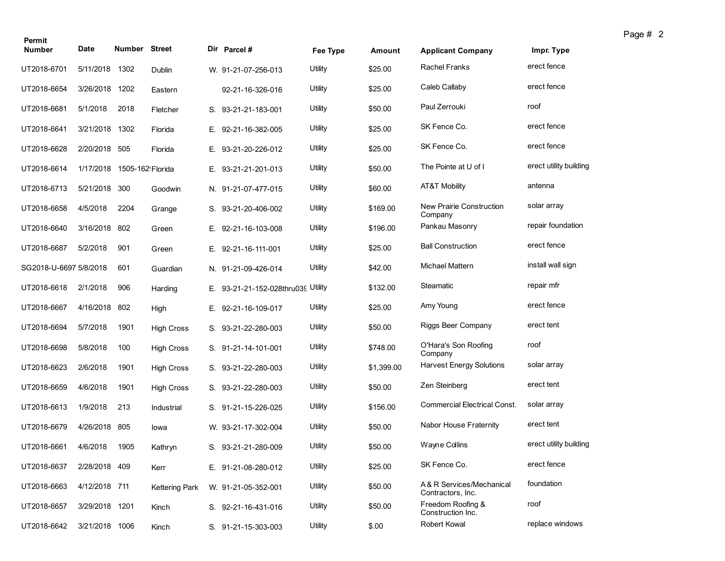| Permit<br>Number       | Date           | <b>Number Street</b> |                       | Dir Parcel#                        | Fee Type | Amount     | <b>Applicant Company</b>                      | Impr. Type             |
|------------------------|----------------|----------------------|-----------------------|------------------------------------|----------|------------|-----------------------------------------------|------------------------|
| UT2018-6701            | 5/11/2018      | 1302                 |                       |                                    | Utility  | \$25.00    | Rachel Franks                                 | erect fence            |
|                        |                |                      | Dublin                | W. 91-21-07-256-013                |          |            |                                               | erect fence            |
| UT2018-6654            | 3/26/2018      | 1202                 | Eastern               | 92-21-16-326-016                   | Utility  | \$25.00    | Caleb Callaby                                 |                        |
| UT2018-6681            | 5/1/2018       | 2018                 | Fletcher              | S. 93-21-21-183-001                | Utility  | \$50.00    | Paul Zerrouki                                 | roof                   |
| UT2018-6641            | 3/21/2018      | 1302                 | Florida               | E. 92-21-16-382-005                | Utility  | \$25.00    | SK Fence Co.                                  | erect fence            |
| UT2018-6628            | 2/20/2018 505  |                      | Florida               | E. 93-21-20-226-012                | Utility  | \$25.00    | SK Fence Co.                                  | erect fence            |
| UT2018-6614            | 1/17/2018      | 1505-162! Florida    |                       | E. 93-21-21-201-013                | Utility  | \$50.00    | The Pointe at U of I                          | erect utility building |
| UT2018-6713            | 5/21/2018      | 300                  | Goodwin               | N. 91-21-07-477-015                | Utility  | \$60.00    | AT&T Mobility                                 | antenna                |
| UT2018-6658            | 4/5/2018       | 2204                 | Grange                | S. 93-21-20-406-002                | Utility  | \$169.00   | New Prairie Construction<br>Company           | solar array            |
| UT2018-6640            | 3/16/2018      | 802                  | Green                 | E. 92-21-16-103-008                | Utility  | \$196.00   | Pankau Masonry                                | repair foundation      |
| UT2018-6687            | 5/2/2018       | 901                  | Green                 | E. 92-21-16-111-001                | Utility  | \$25.00    | <b>Ball Construction</b>                      | erect fence            |
| SG2018-U-6697 5/8/2018 |                | 601                  | Guardian              | N. 91-21-09-426-014                | Utility  | \$42.00    | <b>Michael Mattern</b>                        | install wall sign      |
| UT2018-6618            | 2/1/2018       | 906                  | Harding               | E. 93-21-21-152-028thru039 Utility |          | \$132.00   | Steamatic                                     | repair mfr             |
| UT2018-6667            | 4/16/2018 802  |                      | High                  | E. 92-21-16-109-017                | Utility  | \$25.00    | Amy Young                                     | erect fence            |
| UT2018-6694            | 5/7/2018       | 1901                 | <b>High Cross</b>     | S. 93-21-22-280-003                | Utility  | \$50.00    | Riggs Beer Company                            | erect tent             |
| UT2018-6698            | 5/8/2018       | 100                  | <b>High Cross</b>     | S. 91-21-14-101-001                | Utility  | \$748.00   | O'Hara's Son Roofing<br>Company               | roof                   |
| UT2018-6623            | 2/6/2018       | 1901                 | <b>High Cross</b>     | S. 93-21-22-280-003                | Utility  | \$1,399.00 | <b>Harvest Energy Solutions</b>               | solar array            |
| UT2018-6659            | 4/6/2018       | 1901                 | <b>High Cross</b>     | S. 93-21-22-280-003                | Utility  | \$50.00    | Zen Steinberg                                 | erect tent             |
| UT2018-6613            | 1/9/2018       | 213                  | Industrial            | S. 91-21-15-226-025                | Utility  | \$156.00   | <b>Commercial Electrical Const.</b>           | solar array            |
| UT2018-6679            | 4/26/2018      | 805                  | lowa                  | W. 93-21-17-302-004                | Utility  | \$50.00    | Nabor House Fraternity                        | erect tent             |
| UT2018-6661            | 4/6/2018       | 1905                 | Kathryn               | S. 93-21-21-280-009                | Utility  | \$50.00    | Wayne Collins                                 | erect utility building |
| UT2018-6637            | 2/28/2018 409  |                      | Kerr                  | E. 91-21-08-280-012                | Utility  | \$25.00    | SK Fence Co.                                  | erect fence            |
| UT2018-6663            | 4/12/2018 711  |                      | <b>Kettering Park</b> | W. 91-21-05-352-001                | Utility  | \$50.00    | A& R Services/Mechanical<br>Contractors, Inc. | foundation             |
| UT2018-6657            | 3/29/2018 1201 |                      | Kinch                 | S. 92-21-16-431-016                | Utility  | \$50.00    | Freedom Roofing &<br>Construction Inc.        | roof                   |
| UT2018-6642            | 3/21/2018 1006 |                      | Kinch                 | S. 91-21-15-303-003                | Utility  | \$.00      | <b>Robert Kowal</b>                           | replace windows        |

Page # 2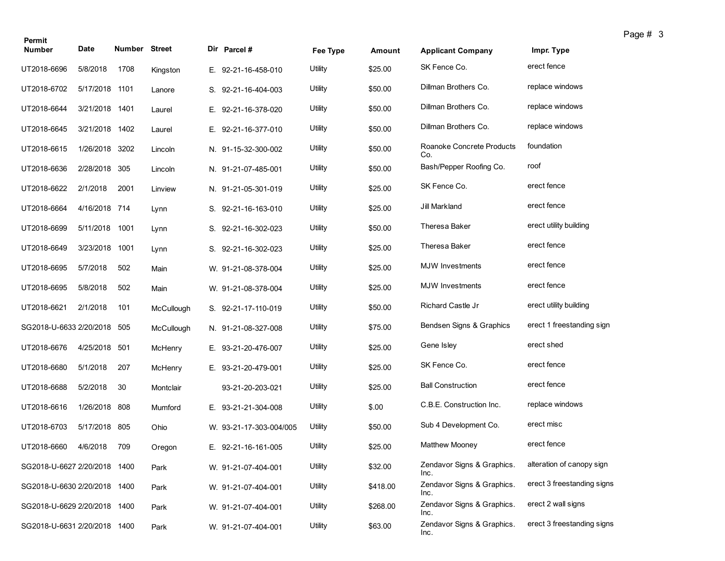| Permit                       |                |                      |            |                         |          |          |                                    |                            | ı a |
|------------------------------|----------------|----------------------|------------|-------------------------|----------|----------|------------------------------------|----------------------------|-----|
| <b>Number</b>                | Date           | <b>Number Street</b> |            | Dir Parcel #            | Fee Type | Amount   | <b>Applicant Company</b>           | Impr. Type                 |     |
| UT2018-6696                  | 5/8/2018       | 1708                 | Kingston   | E. 92-21-16-458-010     | Utility  | \$25.00  | SK Fence Co.                       | erect fence                |     |
| UT2018-6702                  | 5/17/2018 1101 |                      | Lanore     | S. 92-21-16-404-003     | Utility  | \$50.00  | Dillman Brothers Co.               | replace windows            |     |
| UT2018-6644                  | 3/21/2018 1401 |                      | Laurel     | E. 92-21-16-378-020     | Utility  | \$50.00  | Dillman Brothers Co.               | replace windows            |     |
| UT2018-6645                  | 3/21/2018 1402 |                      | Laurel     | E. 92-21-16-377-010     | Utility  | \$50.00  | Dillman Brothers Co.               | replace windows            |     |
| UT2018-6615                  | 1/26/2018 3202 |                      | Lincoln    | N. 91-15-32-300-002     | Utility  | \$50.00  | Roanoke Concrete Products<br>Co.   | foundation                 |     |
| UT2018-6636                  | 2/28/2018 305  |                      | Lincoln    | N. 91-21-07-485-001     | Utility  | \$50.00  | Bash/Pepper Roofing Co.            | roof                       |     |
| UT2018-6622                  | 2/1/2018       | 2001                 | Linview    | N. 91-21-05-301-019     | Utility  | \$25.00  | SK Fence Co.                       | erect fence                |     |
| UT2018-6664                  | 4/16/2018 714  |                      | Lynn       | S. 92-21-16-163-010     | Utility  | \$25.00  | Jill Markland                      | erect fence                |     |
| UT2018-6699                  | 5/11/2018 1001 |                      | Lynn       | S. 92-21-16-302-023     | Utility  | \$50.00  | Theresa Baker                      | erect utility building     |     |
| UT2018-6649                  | 3/23/2018      | 1001                 | Lynn       | S. 92-21-16-302-023     | Utility  | \$25.00  | Theresa Baker                      | erect fence                |     |
| UT2018-6695                  | 5/7/2018       | 502                  | Main       | W. 91-21-08-378-004     | Utility  | \$25.00  | <b>MJW</b> Investments             | erect fence                |     |
| UT2018-6695                  | 5/8/2018       | 502                  | Main       | W. 91-21-08-378-004     | Utility  | \$25.00  | <b>MJW</b> Investments             | erect fence                |     |
| UT2018-6621                  | 2/1/2018       | 101                  | McCullough | S. 92-21-17-110-019     | Utility  | \$50.00  | Richard Castle Jr                  | erect utility building     |     |
| SG2018-U-6633 2/20/2018 505  |                |                      | McCullough | N. 91-21-08-327-008     | Utility  | \$75.00  | Bendsen Signs & Graphics           | erect 1 freestanding sign  |     |
| UT2018-6676                  | 4/25/2018 501  |                      | McHenry    | E. 93-21-20-476-007     | Utility  | \$25.00  | Gene Isley                         | erect shed                 |     |
| UT2018-6680                  | 5/1/2018       | 207                  | McHenry    | E. 93-21-20-479-001     | Utility  | \$25.00  | SK Fence Co.                       | erect fence                |     |
| UT2018-6688                  | 5/2/2018       | 30                   | Montclair  | 93-21-20-203-021        | Utility  | \$25.00  | <b>Ball Construction</b>           | erect fence                |     |
| UT2018-6616                  | 1/26/2018 808  |                      | Mumford    | E. 93-21-21-304-008     | Utility  | \$.00    | C.B.E. Construction Inc.           | replace windows            |     |
| UT2018-6703                  | 5/17/2018 805  |                      | Ohio       | W. 93-21-17-303-004/005 | Utility  | \$50.00  | Sub 4 Development Co.              | erect misc                 |     |
| UT2018-6660 4/6/2018 709     |                |                      | Oregon     | E. 92-21-16-161-005     | Utility  | \$25.00  | Matthew Mooney                     | erect fence                |     |
| SG2018-U-6627 2/20/2018 1400 |                |                      | Park       | W. 91-21-07-404-001     | Utility  | \$32.00  | Zendavor Signs & Graphics.<br>Inc. | alteration of canopy sign  |     |
| SG2018-U-6630 2/20/2018 1400 |                |                      | Park       | W. 91-21-07-404-001     | Utility  | \$418.00 | Zendavor Signs & Graphics.<br>Inc. | erect 3 freestanding signs |     |
| SG2018-U-6629 2/20/2018 1400 |                |                      | Park       | W. 91-21-07-404-001     | Utility  | \$268.00 | Zendavor Signs & Graphics.<br>Inc. | erect 2 wall signs         |     |
| SG2018-U-6631 2/20/2018 1400 |                |                      | Park       | W. 91-21-07-404-001     | Utility  | \$63.00  | Zendavor Signs & Graphics.<br>Inc. | erect 3 freestanding signs |     |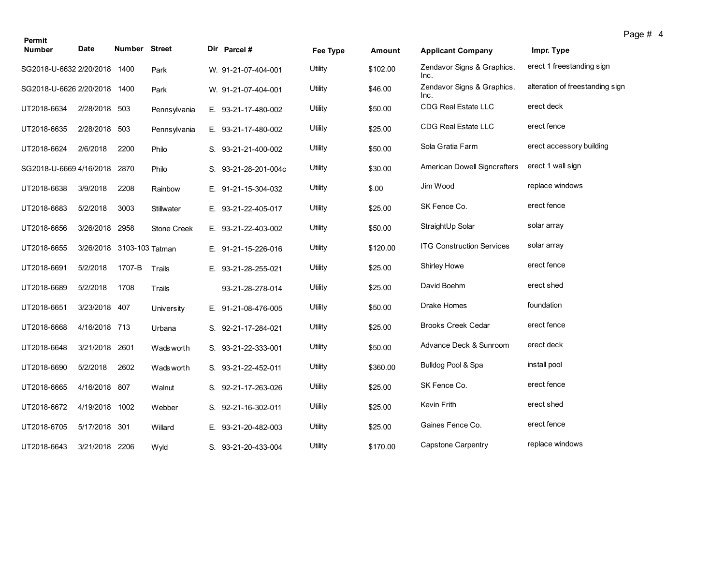| Permit                       |                |                           |                    |                      |          |          |                                    |                                 | Page # 4 |
|------------------------------|----------------|---------------------------|--------------------|----------------------|----------|----------|------------------------------------|---------------------------------|----------|
| <b>Number</b>                | Date           | Number Street             |                    | Dir Parcel#          | Fee Type | Amount   | <b>Applicant Company</b>           | Impr. Type                      |          |
| SG2018-U-6632 2/20/2018 1400 |                |                           | Park               | W. 91-21-07-404-001  | Utility  | \$102.00 | Zendavor Signs & Graphics.<br>Inc. | erect 1 freestanding sign       |          |
| SG2018-U-6626 2/20/2018 1400 |                |                           | Park               | W. 91-21-07-404-001  | Utility  | \$46.00  | Zendavor Signs & Graphics.<br>Inc. | alteration of freestanding sign |          |
| UT2018-6634                  | 2/28/2018 503  |                           | Pennsylvania       | E. 93-21-17-480-002  | Utility  | \$50.00  | <b>CDG Real Estate LLC</b>         | erect deck                      |          |
| UT2018-6635                  | 2/28/2018      | 503                       | Pennsylvania       | E. 93-21-17-480-002  | Utility  | \$25.00  | <b>CDG Real Estate LLC</b>         | erect fence                     |          |
| UT2018-6624                  | 2/6/2018       | 2200                      | Philo              | S. 93-21-21-400-002  | Utility  | \$50.00  | Sola Gratia Farm                   | erect accessory building        |          |
| SG2018-U-6669 4/16/2018      |                | 2870                      | Philo              | S. 93-21-28-201-004c | Utility  | \$30.00  | American Dowell Signcrafters       | erect 1 wall sign               |          |
| UT2018-6638                  | 3/9/2018       | 2208                      | Rainbow            | E. 91-21-15-304-032  | Utility  | \$.00    | Jim Wood                           | replace windows                 |          |
| UT2018-6683                  | 5/2/2018       | 3003                      | Stillwater         | E. 93-21-22-405-017  | Utility  | \$25.00  | SK Fence Co.                       | erect fence                     |          |
| UT2018-6656                  | 3/26/2018 2958 |                           | <b>Stone Creek</b> | E. 93-21-22-403-002  | Utility  | \$50.00  | StraightUp Solar                   | solar array                     |          |
| UT2018-6655                  |                | 3/26/2018 3103-103 Tatman |                    | E. 91-21-15-226-016  | Utility  | \$120.00 | <b>ITG Construction Services</b>   | solar array                     |          |
| UT2018-6691                  | 5/2/2018       | 1707-B                    | Trails             | E. 93-21-28-255-021  | Utility  | \$25.00  | <b>Shirley Howe</b>                | erect fence                     |          |
| UT2018-6689                  | 5/2/2018       | 1708                      | Trails             | 93-21-28-278-014     | Utility  | \$25.00  | David Boehm                        | erect shed                      |          |
| UT2018-6651                  | 3/23/2018 407  |                           | University         | E. 91-21-08-476-005  | Utility  | \$50.00  | Drake Homes                        | foundation                      |          |
| UT2018-6668                  | 4/16/2018 713  |                           | Urbana             | S. 92-21-17-284-021  | Utility  | \$25.00  | <b>Brooks Creek Cedar</b>          | erect fence                     |          |
| UT2018-6648                  | 3/21/2018 2601 |                           | Wads worth         | S. 93-21-22-333-001  | Utility  | \$50.00  | Advance Deck & Sunroom             | erect deck                      |          |
| UT2018-6690                  | 5/2/2018       | 2602                      | Wads worth         | S. 93-21-22-452-011  | Utility  | \$360.00 | Bulldog Pool & Spa                 | install pool                    |          |
| UT2018-6665                  | 4/16/2018 807  |                           | Walnut             | S. 92-21-17-263-026  | Utility  | \$25.00  | SK Fence Co.                       | erect fence                     |          |
| UT2018-6672                  | 4/19/2018 1002 |                           | Webber             | S. 92-21-16-302-011  | Utility  | \$25.00  | Kevin Frith                        | erect shed                      |          |
| UT2018-6705                  | 5/17/2018 301  |                           | Willard            | E. 93-21-20-482-003  | Utility  | \$25.00  | Gaines Fence Co.                   | erect fence                     |          |
| UT2018-6643                  | 3/21/2018 2206 |                           | Wyld               | S. 93-21-20-433-004  | Utility  | \$170.00 | Capstone Carpentry                 | replace windows                 |          |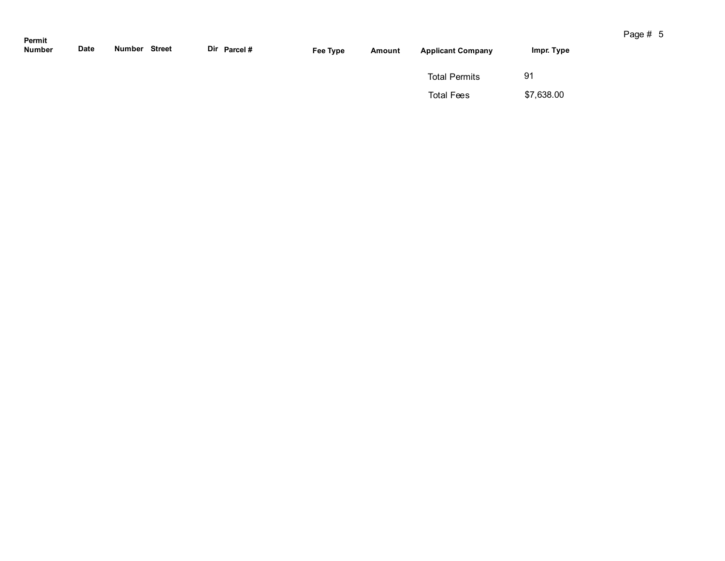| Permit<br><b>Number</b> | Date | Number | Street | Dir Parcel # | Fee Type | Amount | <b>Applicant Company</b> | Impr. Type |
|-------------------------|------|--------|--------|--------------|----------|--------|--------------------------|------------|
|                         |      |        |        |              |          |        | <b>Total Permits</b>     | 91         |
|                         |      |        |        |              |          |        | <b>Total Fees</b>        | \$7,638.00 |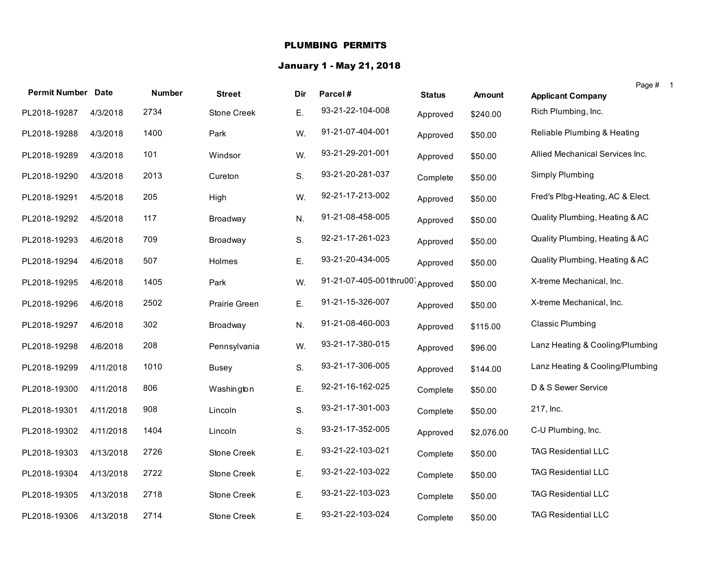#### PLUMBING PERMITS

# January 1 - May 21, 2018

|                           |           |               |               |     |                        |               |               |                                  | Page # |  |
|---------------------------|-----------|---------------|---------------|-----|------------------------|---------------|---------------|----------------------------------|--------|--|
| <b>Permit Number Date</b> |           | <b>Number</b> | <b>Street</b> | Dir | Parcel#                | <b>Status</b> | <b>Amount</b> | <b>Applicant Company</b>         |        |  |
| PL2018-19287              | 4/3/2018  | 2734          | Stone Creek   | Ε.  | 93-21-22-104-008       | Approved      | \$240.00      | Rich Plumbing, Inc.              |        |  |
| PL2018-19288              | 4/3/2018  | 1400          | Park          | W.  | 91-21-07-404-001       | Approved      | \$50.00       | Reliable Plumbing & Heating      |        |  |
| PL2018-19289              | 4/3/2018  | 101           | Windsor       | W.  | 93-21-29-201-001       | Approved      | \$50.00       | Allied Mechanical Services Inc.  |        |  |
| PL2018-19290              | 4/3/2018  | 2013          | Cureton       | S.  | 93-21-20-281-037       | Complete      | \$50.00       | Simply Plumbing                  |        |  |
| PL2018-19291              | 4/5/2018  | 205           | High          | W.  | 92-21-17-213-002       | Approved      | \$50.00       | Fred's Plbg-Heating, AC & Elect. |        |  |
| PL2018-19292              | 4/5/2018  | 117           | Broadway      | N.  | 91-21-08-458-005       | Approved      | \$50.00       | Quality Plumbing, Heating & AC   |        |  |
| PL2018-19293              | 4/6/2018  | 709           | Broadway      | S.  | 92-21-17-261-023       | Approved      | \$50.00       | Quality Plumbing, Heating & AC   |        |  |
| PL2018-19294              | 4/6/2018  | 507           | Holmes        | Ε.  | 93-21-20-434-005       | Approved      | \$50.00       | Quality Plumbing, Heating & AC   |        |  |
| PL2018-19295              | 4/6/2018  | 1405          | Park          | W.  | 91-21-07-405-001thru00 | Approved      | \$50.00       | X-treme Mechanical, Inc.         |        |  |
| PL2018-19296              | 4/6/2018  | 2502          | Prairie Green | Ε.  | 91-21-15-326-007       | Approved      | \$50.00       | X-treme Mechanical, Inc.         |        |  |
| PL2018-19297              | 4/6/2018  | 302           | Broadway      | N.  | 91-21-08-460-003       | Approved      | \$115.00      | <b>Classic Plumbing</b>          |        |  |
| PL2018-19298              | 4/6/2018  | 208           | Pennsylvania  | W.  | 93-21-17-380-015       | Approved      | \$96.00       | Lanz Heating & Cooling/Plumbing  |        |  |
| PL2018-19299              | 4/11/2018 | 1010          | Busey         | S.  | 93-21-17-306-005       | Approved      | \$144.00      | Lanz Heating & Cooling/Plumbing  |        |  |
| PL2018-19300              | 4/11/2018 | 806           | Washington    | Ε.  | 92-21-16-162-025       | Complete      | \$50.00       | D & S Sewer Service              |        |  |
| PL2018-19301              | 4/11/2018 | 908           | Lincoln       | S.  | 93-21-17-301-003       | Complete      | \$50.00       | 217, Inc.                        |        |  |
| PL2018-19302              | 4/11/2018 | 1404          | Lincoln       | S.  | 93-21-17-352-005       | Approved      | \$2,076.00    | C-U Plumbing, Inc.               |        |  |
| PL2018-19303              | 4/13/2018 | 2726          | Stone Creek   | Ε.  | 93-21-22-103-021       | Complete      | \$50.00       | <b>TAG Residential LLC</b>       |        |  |
| PL2018-19304              | 4/13/2018 | 2722          | Stone Creek   | Ε.  | 93-21-22-103-022       | Complete      | \$50.00       | <b>TAG Residential LLC</b>       |        |  |
| PL2018-19305              | 4/13/2018 | 2718          | Stone Creek   | Ε.  | 93-21-22-103-023       | Complete      | \$50.00       | <b>TAG Residential LLC</b>       |        |  |
| PL2018-19306              | 4/13/2018 | 2714          | Stone Creek   | Ε.  | 93-21-22-103-024       | Complete      | \$50.00       | <b>TAG Residential LLC</b>       |        |  |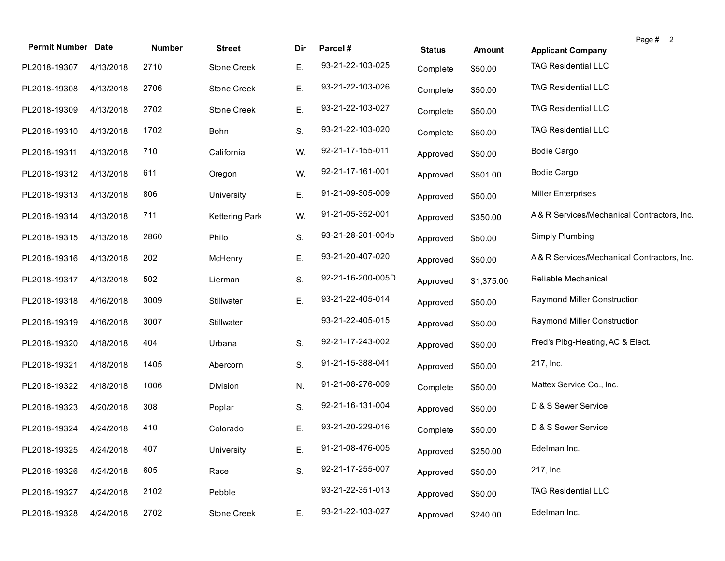| <b>Permit Number Date</b> |           | Number | <b>Street</b>  | Dir | Parcel#           | <b>Status</b> | Amount     | Page # 2<br><b>Applicant Company</b>       |
|---------------------------|-----------|--------|----------------|-----|-------------------|---------------|------------|--------------------------------------------|
| PL2018-19307              | 4/13/2018 | 2710   | Stone Creek    | Е.  | 93-21-22-103-025  | Complete      | \$50.00    | <b>TAG Residential LLC</b>                 |
| PL2018-19308              | 4/13/2018 | 2706   | Stone Creek    | Ε.  | 93-21-22-103-026  | Complete      | \$50.00    | <b>TAG Residential LLC</b>                 |
| PL2018-19309              | 4/13/2018 | 2702   | Stone Creek    | Ε.  | 93-21-22-103-027  | Complete      | \$50.00    | <b>TAG Residential LLC</b>                 |
| PL2018-19310              | 4/13/2018 | 1702   | Bohn           | S.  | 93-21-22-103-020  | Complete      | \$50.00    | <b>TAG Residential LLC</b>                 |
| PL2018-19311              | 4/13/2018 | 710    | California     | W.  | 92-21-17-155-011  | Approved      | \$50.00    | Bodie Cargo                                |
| PL2018-19312              | 4/13/2018 | 611    | Oregon         | W.  | 92-21-17-161-001  | Approved      | \$501.00   | <b>Bodie Cargo</b>                         |
| PL2018-19313              | 4/13/2018 | 806    | University     | Ε.  | 91-21-09-305-009  | Approved      | \$50.00    | <b>Miller Enterprises</b>                  |
| PL2018-19314              | 4/13/2018 | 711    | Kettering Park | W.  | 91-21-05-352-001  | Approved      | \$350.00   | A& R Services/Mechanical Contractors, Inc. |
| PL2018-19315              | 4/13/2018 | 2860   | Philo          | S.  | 93-21-28-201-004b | Approved      | \$50.00    | Simply Plumbing                            |
| PL2018-19316              | 4/13/2018 | 202    | McHenry        | Ε.  | 93-21-20-407-020  | Approved      | \$50.00    | A&R Services/Mechanical Contractors, Inc.  |
| PL2018-19317              | 4/13/2018 | 502    | Lierman        | S.  | 92-21-16-200-005D | Approved      | \$1,375.00 | Reliable Mechanical                        |
| PL2018-19318              | 4/16/2018 | 3009   | Stillwater     | Ε.  | 93-21-22-405-014  | Approved      | \$50.00    | Raymond Miller Construction                |
| PL2018-19319              | 4/16/2018 | 3007   | Stillwater     |     | 93-21-22-405-015  | Approved      | \$50.00    | Raymond Miller Construction                |
| PL2018-19320              | 4/18/2018 | 404    | Urbana         | S.  | 92-21-17-243-002  | Approved      | \$50.00    | Fred's Plbg-Heating, AC & Elect.           |
| PL2018-19321              | 4/18/2018 | 1405   | Abercorn       | S.  | 91-21-15-388-041  | Approved      | \$50.00    | 217, Inc.                                  |
| PL2018-19322              | 4/18/2018 | 1006   | Division       | N.  | 91-21-08-276-009  | Complete      | \$50.00    | Mattex Service Co., Inc.                   |
| PL2018-19323              | 4/20/2018 | 308    | Poplar         | S.  | 92-21-16-131-004  | Approved      | \$50.00    | D & S Sewer Service                        |
| PL2018-19324              | 4/24/2018 | 410    | Colorado       | Ε.  | 93-21-20-229-016  | Complete      | \$50.00    | D & S Sewer Service                        |
| PL2018-19325 4/24/2018    |           | 407    | University     | Е.  | 91-21-08-476-005  | Approved      | \$250.00   | Edelman Inc.                               |
| PL2018-19326              | 4/24/2018 | 605    | Race           | S.  | 92-21-17-255-007  | Approved      | \$50.00    | 217, Inc.                                  |
| PL2018-19327              | 4/24/2018 | 2102   | Pebble         |     | 93-21-22-351-013  | Approved      | \$50.00    | <b>TAG Residential LLC</b>                 |
| PL2018-19328              | 4/24/2018 | 2702   | Stone Creek    | Ε.  | 93-21-22-103-027  | Approved      | \$240.00   | Edelman Inc.                               |